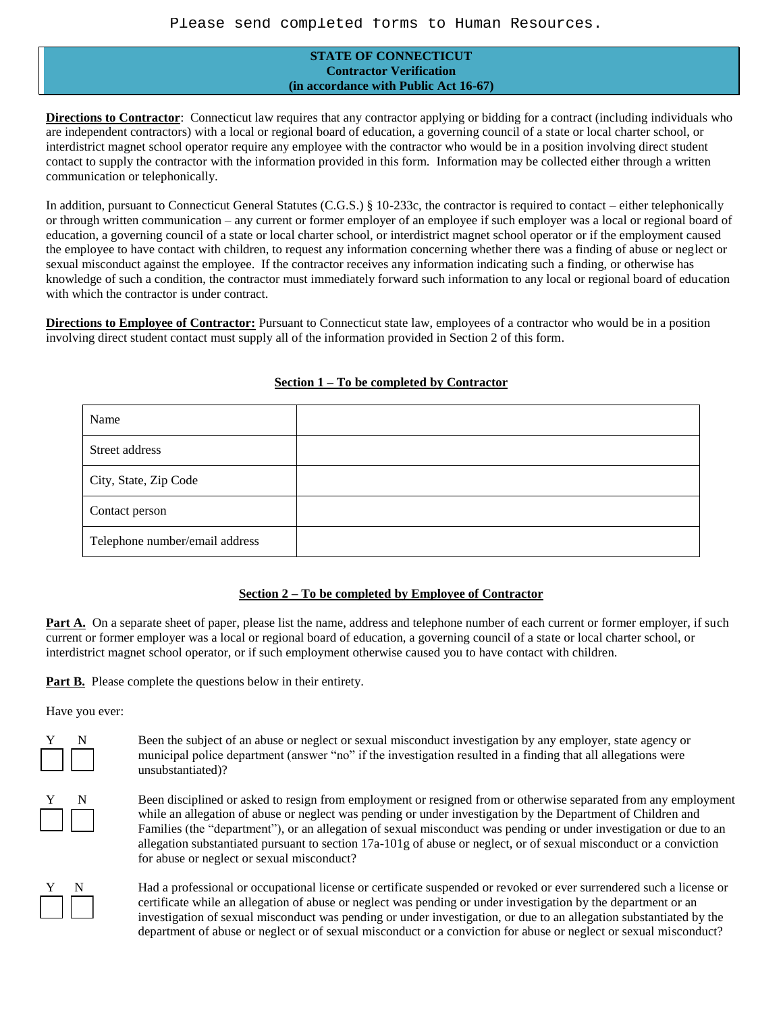## **STATE OF CONNECTICUT Contractor Verification (in accordance with Public Act 16-67)**

**Directions to Contractor**: Connecticut law requires that any contractor applying or bidding for a contract (including individuals who are independent contractors) with a local or regional board of education, a governing council of a state or local charter school, or interdistrict magnet school operator require any employee with the contractor who would be in a position involving direct student contact to supply the contractor with the information provided in this form. Information may be collected either through a written communication or telephonically.

In addition, pursuant to Connecticut General Statutes (C.G.S.) § 10-233c, the contractor is required to contact – either telephonically or through written communication – any current or former employer of an employee if such employer was a local or regional board of education, a governing council of a state or local charter school, or interdistrict magnet school operator or if the employment caused the employee to have contact with children, to request any information concerning whether there was a finding of abuse or neglect or sexual misconduct against the employee. If the contractor receives any information indicating such a finding, or otherwise has knowledge of such a condition, the contractor must immediately forward such information to any local or regional board of education with which the contractor is under contract.

**Directions to Employee of Contractor:** Pursuant to Connecticut state law, employees of a contractor who would be in a position involving direct student contact must supply all of the information provided in Section 2 of this form.

| Name                           |  |
|--------------------------------|--|
| Street address                 |  |
| City, State, Zip Code          |  |
| Contact person                 |  |
| Telephone number/email address |  |

## **Section 1 – To be completed by Contractor**

## **Section 2 – To be completed by Employee of Contractor**

**Part A.** On a separate sheet of paper, please list the name, address and telephone number of each current or former employer, if such current or former employer was a local or regional board of education, a governing council of a state or local charter school, or interdistrict magnet school operator, or if such employment otherwise caused you to have contact with children.

**Part B.** Please complete the questions below in their entirety.

Have you ever:



Been the subject of an abuse or neglect or sexual misconduct investigation by any employer, state agency or municipal police department (answer "no" if the investigation resulted in a finding that all allegations were unsubstantiated)?

Been disciplined or asked to resign from employment or resigned from or otherwise separated from any employment while an allegation of abuse or neglect was pending or under investigation by the Department of Children and Families (the "department"), or an allegation of sexual misconduct was pending or under investigation or due to an allegation substantiated pursuant to section 17a-101g of abuse or neglect, or of sexual misconduct or a conviction for abuse or neglect or sexual misconduct?



Had a professional or occupational license or certificate suspended or revoked or ever surrendered such a license or certificate while an allegation of abuse or neglect was pending or under investigation by the department or an investigation of sexual misconduct was pending or under investigation, or due to an allegation substantiated by the department of abuse or neglect or of sexual misconduct or a conviction for abuse or neglect or sexual misconduct?